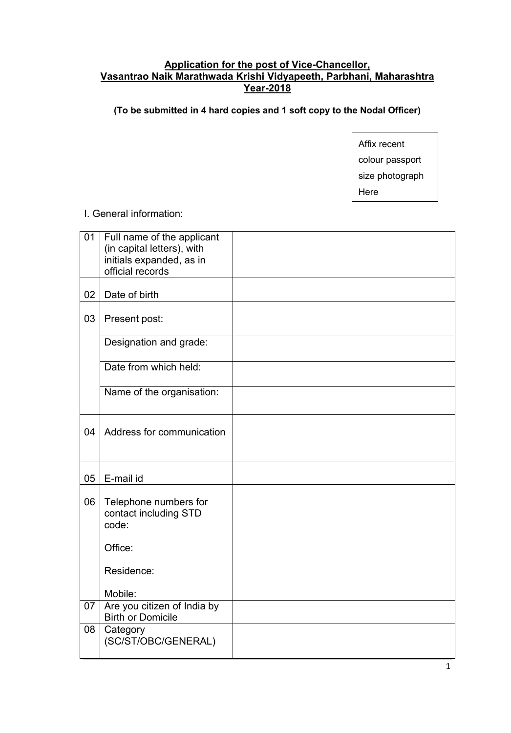### **Application for the post of Vice-Chancellor, Vasantrao Naik Marathwada Krishi Vidyapeeth, Parbhani, Maharashtra Year-2018**

**(To be submitted in 4 hard copies and 1 soft copy to the Nodal Officer)**

Affix recent colour passport size photograph Here

#### I. General information:

| 01 | Full name of the applicant                              |  |
|----|---------------------------------------------------------|--|
|    | (in capital letters), with                              |  |
|    | initials expanded, as in                                |  |
|    | official records                                        |  |
| 02 | Date of birth                                           |  |
| 03 | Present post:                                           |  |
|    | Designation and grade:                                  |  |
|    | Date from which held:                                   |  |
|    | Name of the organisation:                               |  |
| 04 | Address for communication                               |  |
| 05 | E-mail id                                               |  |
| 06 | Telephone numbers for<br>contact including STD<br>code: |  |
|    | Office:                                                 |  |
|    | Residence:                                              |  |
|    | Mobile:                                                 |  |
| 07 | Are you citizen of India by<br><b>Birth or Domicile</b> |  |
| 08 | Category<br>(SC/ST/OBC/GENERAL)                         |  |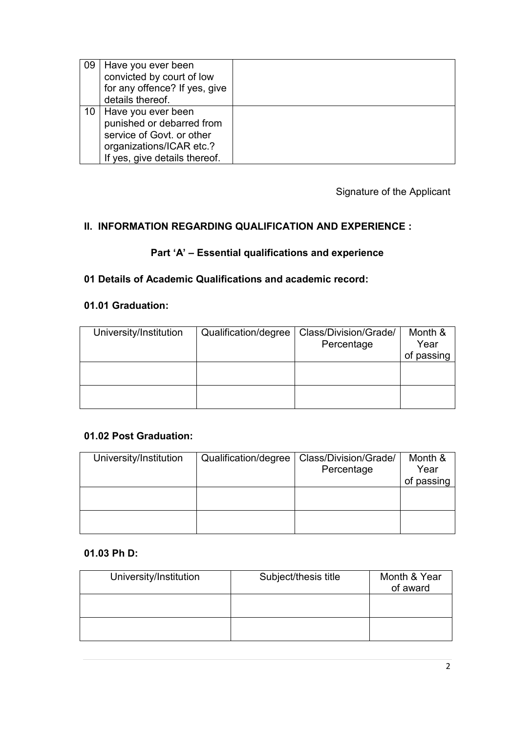| 09 | Have you ever been<br>convicted by court of low<br>for any offence? If yes, give<br>details thereof.                                           |  |
|----|------------------------------------------------------------------------------------------------------------------------------------------------|--|
|    | 10   Have you ever been<br>punished or debarred from<br>service of Govt. or other<br>organizations/ICAR etc.?<br>If yes, give details thereof. |  |

Signature of the Applicant

# **II. INFORMATION REGARDING QUALIFICATION AND EXPERIENCE :**

# **Part 'A' – Essential qualifications and experience**

## **01 Details of Academic Qualifications and academic record:**

# **01.01 Graduation:**

| University/Institution | Qualification/degree | Class/Division/Grade/ | Month &    |
|------------------------|----------------------|-----------------------|------------|
|                        |                      | Percentage            | Year       |
|                        |                      |                       | of passing |
|                        |                      |                       |            |
|                        |                      |                       |            |
|                        |                      |                       |            |
|                        |                      |                       |            |

#### **01.02 Post Graduation:**

| University/Institution | Qualification/degree | Class/Division/Grade/ | Month &    |
|------------------------|----------------------|-----------------------|------------|
|                        |                      | Percentage            | Year       |
|                        |                      |                       | of passing |
|                        |                      |                       |            |
|                        |                      |                       |            |
|                        |                      |                       |            |
|                        |                      |                       |            |

#### **01.03 Ph D:**

| University/Institution | Subject/thesis title | Month & Year<br>of award |
|------------------------|----------------------|--------------------------|
|                        |                      |                          |
|                        |                      |                          |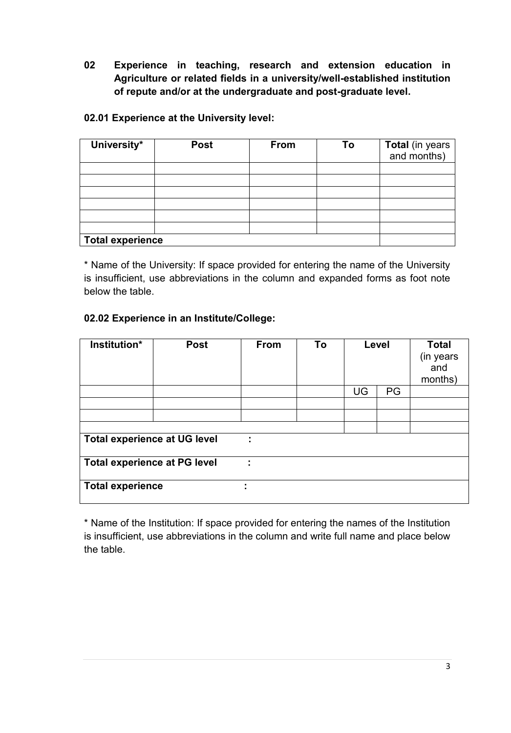**02 Experience in teaching, research and extension education in Agriculture or related fields in a university/well-established institution of repute and/or at the undergraduate and post-graduate level.**

## **02.01 Experience at the University level:**

| University*             | <b>Post</b> | <b>From</b> | To | Total (in years<br>and months) |
|-------------------------|-------------|-------------|----|--------------------------------|
|                         |             |             |    |                                |
|                         |             |             |    |                                |
|                         |             |             |    |                                |
|                         |             |             |    |                                |
|                         |             |             |    |                                |
|                         |             |             |    |                                |
| <b>Total experience</b> |             |             |    |                                |

\* Name of the University: If space provided for entering the name of the University is insufficient, use abbreviations in the column and expanded forms as foot note below the table.

# **02.02 Experience in an Institute/College:**

| Institution*                        | <b>Post</b> | <b>From</b> | To | Level |    | <b>Total</b><br>(in years<br>and<br>months) |
|-------------------------------------|-------------|-------------|----|-------|----|---------------------------------------------|
|                                     |             |             |    | UG    | PG |                                             |
|                                     |             |             |    |       |    |                                             |
|                                     |             |             |    |       |    |                                             |
|                                     |             |             |    |       |    |                                             |
| <b>Total experience at UG level</b> |             |             |    |       |    |                                             |
| <b>Total experience at PG level</b> |             | ÷           |    |       |    |                                             |
| <b>Total experience</b>             |             |             |    |       |    |                                             |

\* Name of the Institution: If space provided for entering the names of the Institution is insufficient, use abbreviations in the column and write full name and place below the table.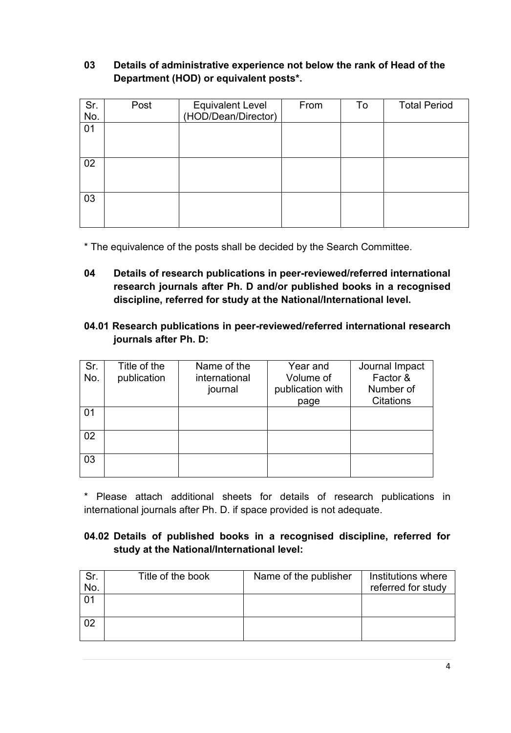# **03 Details of administrative experience not below the rank of Head of the Department (HOD) or equivalent posts\*.**

| Sr.<br>No. | Post | Equivalent Level<br>(HOD/Dean/Director) | From | To | <b>Total Period</b> |
|------------|------|-----------------------------------------|------|----|---------------------|
| 01         |      |                                         |      |    |                     |
| 02         |      |                                         |      |    |                     |
| 03         |      |                                         |      |    |                     |

\* The equivalence of the posts shall be decided by the Search Committee.

- **04 Details of research publications in peer-reviewed/referred international research journals after Ph. D and/or published books in a recognised discipline, referred for study at the National/International level.**
- **04.01 Research publications in peer-reviewed/referred international research journals after Ph. D:**

| Sr. | Title of the | Name of the   | Year and         | Journal Impact   |
|-----|--------------|---------------|------------------|------------------|
| No. | publication  | international | Volume of        | Factor &         |
|     |              | journal       | publication with | Number of        |
|     |              |               | page             | <b>Citations</b> |
| 01  |              |               |                  |                  |
| 02  |              |               |                  |                  |
| 03  |              |               |                  |                  |

\* Please attach additional sheets for details of research publications in international journals after Ph. D. if space provided is not adequate.

### **04.02 Details of published books in a recognised discipline, referred for study at the National/International level:**

| Sr.<br>No. | Title of the book | Name of the publisher | Institutions where<br>referred for study |
|------------|-------------------|-----------------------|------------------------------------------|
|            |                   |                       |                                          |
| 02         |                   |                       |                                          |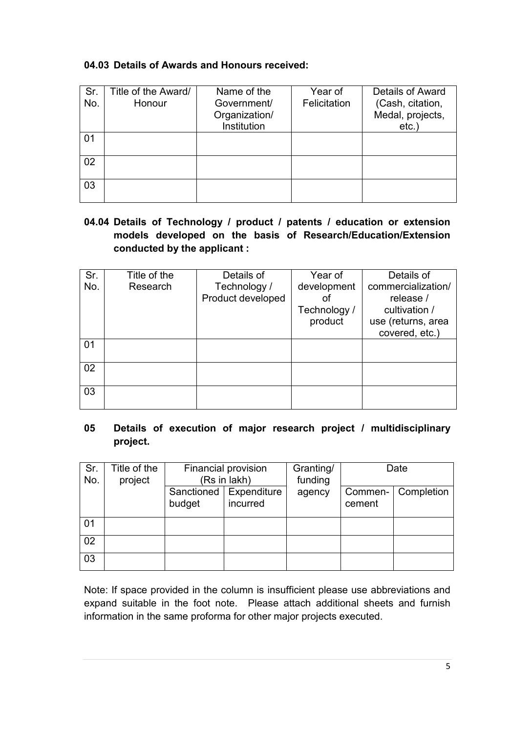# **04.03 Details of Awards and Honours received:**

| Sr.<br>No. | Title of the Award/<br>Honour | Name of the<br>Government/<br>Organization/<br>Institution | Year of<br>Felicitation | <b>Details of Award</b><br>(Cash, citation,<br>Medal, projects,<br>$etc.$ ) |
|------------|-------------------------------|------------------------------------------------------------|-------------------------|-----------------------------------------------------------------------------|
| 01         |                               |                                                            |                         |                                                                             |
| 02         |                               |                                                            |                         |                                                                             |
| 03         |                               |                                                            |                         |                                                                             |

# **04.04 Details of Technology / product / patents / education or extension models developed on the basis of Research/Education/Extension conducted by the applicant :**

| Sr. | Title of the | Details of        | Year of      | Details of         |
|-----|--------------|-------------------|--------------|--------------------|
| No. | Research     | Technology /      | development  | commercialization/ |
|     |              | Product developed |              | release /          |
|     |              |                   | Technology / | cultivation /      |
|     |              |                   | product      | use (returns, area |
|     |              |                   |              | covered, etc.)     |
| 01  |              |                   |              |                    |
|     |              |                   |              |                    |
| 02  |              |                   |              |                    |
|     |              |                   |              |                    |
| 03  |              |                   |              |                    |
|     |              |                   |              |                    |

# **05 Details of execution of major research project / multidisciplinary project.**

| Sr.<br>No. | Title of the<br>project | Financial provision<br>(Rs in lakh) |                                      | Granting/<br>funding |                   | Date       |
|------------|-------------------------|-------------------------------------|--------------------------------------|----------------------|-------------------|------------|
|            |                         | budget                              | Sanctioned   Expenditure<br>incurred | agency               | Commen-<br>cement | Completion |
| 01         |                         |                                     |                                      |                      |                   |            |
| 02         |                         |                                     |                                      |                      |                   |            |
| 03         |                         |                                     |                                      |                      |                   |            |

Note: If space provided in the column is insufficient please use abbreviations and expand suitable in the foot note. Please attach additional sheets and furnish information in the same proforma for other major projects executed.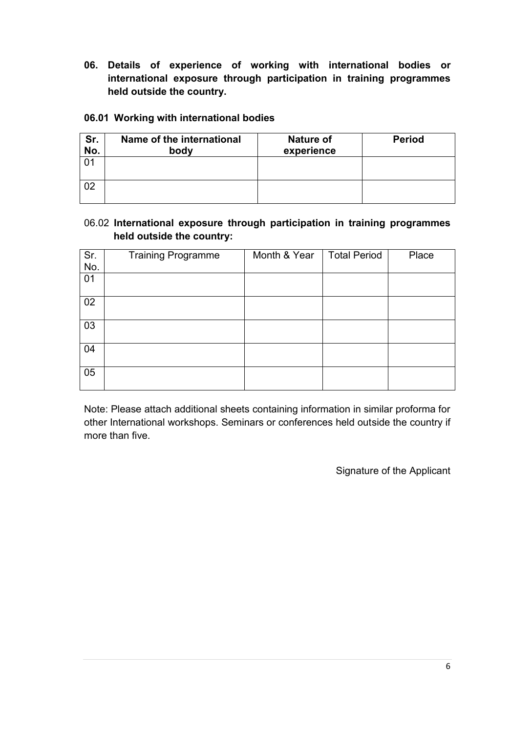**06. Details of experience of working with international bodies or international exposure through participation in training programmes held outside the country.**

#### **06.01 Working with international bodies**

| Sr.<br>No. | Name of the international<br>body | <b>Nature of</b><br>experience | <b>Period</b> |
|------------|-----------------------------------|--------------------------------|---------------|
|            |                                   |                                |               |
| 02         |                                   |                                |               |

### 06.02 **International exposure through participation in training programmes held outside the country:**

|              | <b>Training Programme</b> | Month & Year | <b>Total Period</b> | Place |
|--------------|---------------------------|--------------|---------------------|-------|
|              |                           |              |                     |       |
| $Sr.$<br>No. |                           |              |                     |       |
| 01           |                           |              |                     |       |
|              |                           |              |                     |       |
| 02           |                           |              |                     |       |
|              |                           |              |                     |       |
| 03           |                           |              |                     |       |
|              |                           |              |                     |       |
| 04           |                           |              |                     |       |
|              |                           |              |                     |       |
| 05           |                           |              |                     |       |
|              |                           |              |                     |       |
|              |                           |              |                     |       |

Note: Please attach additional sheets containing information in similar proforma for other International workshops. Seminars or conferences held outside the country if more than five.

Signature of the Applicant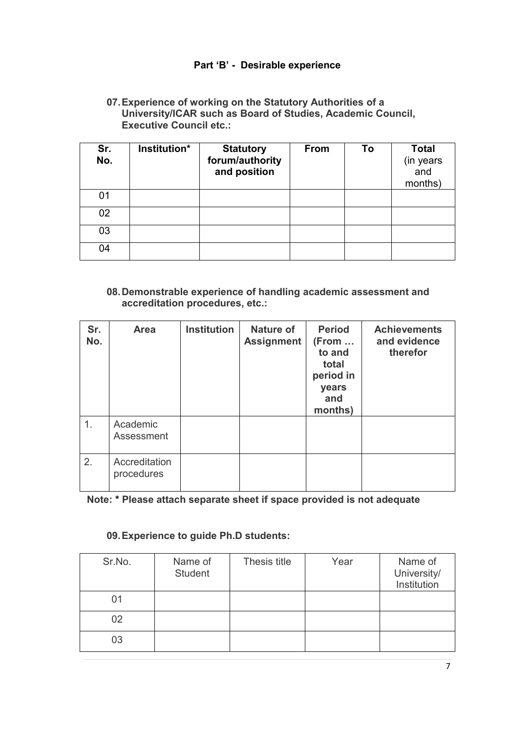## **Part 'B' - Desirable experience**

#### **07.Experience of working on the Statutory Authorities of a University/ICAR such as Board of Studies, Academic Council, Executive Council etc.:**

| Sr.<br>No. | Institution* | <b>Statutory</b><br>forum/authority<br>and position | <b>From</b> | To | <b>Total</b><br>(in years<br>and<br>months) |
|------------|--------------|-----------------------------------------------------|-------------|----|---------------------------------------------|
| 01         |              |                                                     |             |    |                                             |
| 02         |              |                                                     |             |    |                                             |
| 03         |              |                                                     |             |    |                                             |
| 04         |              |                                                     |             |    |                                             |

#### **08.Demonstrable experience of handling academic assessment and accreditation procedures, etc.:**

| Sr.<br>No. | <b>Area</b>                 | <b>Institution</b> | <b>Nature of</b><br><b>Assignment</b> | <b>Period</b><br>(From<br>to and<br>total<br>period in<br>years<br>and<br>months) | <b>Achievements</b><br>and evidence<br>therefor |
|------------|-----------------------------|--------------------|---------------------------------------|-----------------------------------------------------------------------------------|-------------------------------------------------|
| 1.         | Academic<br>Assessment      |                    |                                       |                                                                                   |                                                 |
| 2.         | Accreditation<br>procedures |                    |                                       |                                                                                   |                                                 |

**Note: \* Please attach separate sheet if space provided is not adequate**

#### **09.Experience to guide Ph.D students:**

| Sr.No. | Name of<br><b>Student</b> | Thesis title | Year | Name of<br>University/<br>Institution |
|--------|---------------------------|--------------|------|---------------------------------------|
| 01     |                           |              |      |                                       |
| 02     |                           |              |      |                                       |
| 03     |                           |              |      |                                       |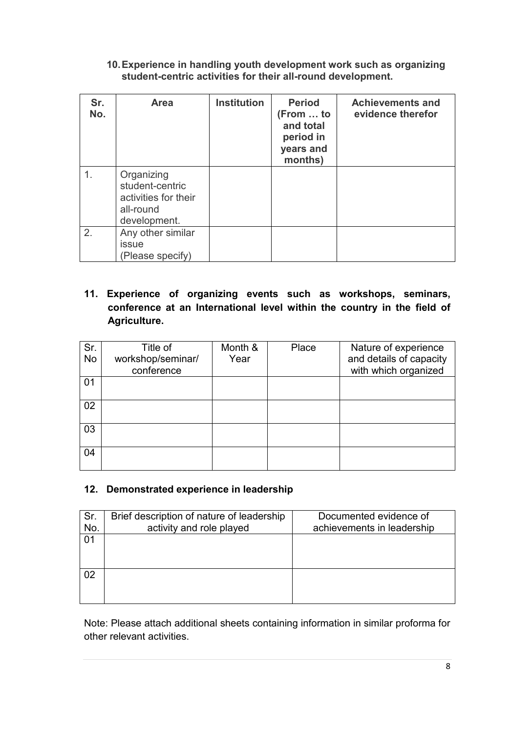**10.Experience in handling youth development work such as organizing student-centric activities for their all-round development.**

| Sr.<br>No. | <b>Area</b>                                                                        | <b>Institution</b> | <b>Period</b><br>(From  to<br>and total<br>period in<br>years and<br>months) | <b>Achievements and</b><br>evidence therefor |
|------------|------------------------------------------------------------------------------------|--------------------|------------------------------------------------------------------------------|----------------------------------------------|
| 1.         | Organizing<br>student-centric<br>activities for their<br>all-round<br>development. |                    |                                                                              |                                              |
| 2.         | Any other similar<br><i>issue</i><br>(Please specify)                              |                    |                                                                              |                                              |

# **11. Experience of organizing events such as workshops, seminars, conference at an International level within the country in the field of Agriculture.**

| Sr.<br>No | Title of<br>workshop/seminar/<br>conference | Month &<br>Year | Place | Nature of experience<br>and details of capacity<br>with which organized |
|-----------|---------------------------------------------|-----------------|-------|-------------------------------------------------------------------------|
| 01        |                                             |                 |       |                                                                         |
| 02        |                                             |                 |       |                                                                         |
| 03        |                                             |                 |       |                                                                         |
| 04        |                                             |                 |       |                                                                         |

#### **12. Demonstrated experience in leadership**

| Sr.<br>No. | Brief description of nature of leadership<br>activity and role played | Documented evidence of<br>achievements in leadership |
|------------|-----------------------------------------------------------------------|------------------------------------------------------|
| 01         |                                                                       |                                                      |
| 02         |                                                                       |                                                      |

Note: Please attach additional sheets containing information in similar proforma for other relevant activities.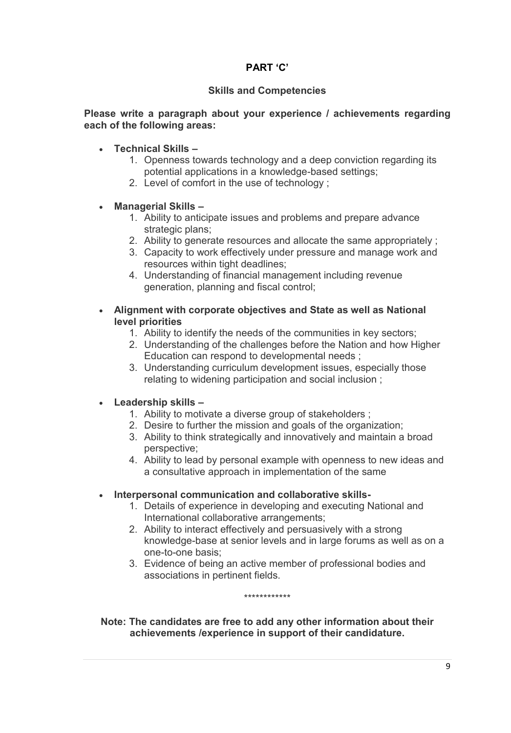## **PART 'C'**

#### **Skills and Competencies**

#### **Please write a paragraph about your experience / achievements regarding each of the following areas:**

- **Technical Skills –**
	- 1. Openness towards technology and a deep conviction regarding its potential applications in a knowledge-based settings;
	- 2. Level of comfort in the use of technology ;

#### **Managerial Skills –**

- 1. Ability to anticipate issues and problems and prepare advance strategic plans;
- 2. Ability to generate resources and allocate the same appropriately ;
- 3. Capacity to work effectively under pressure and manage work and resources within tight deadlines;
- 4. Understanding of financial management including revenue generation, planning and fiscal control;
- **Alignment with corporate objectives and State as well as National level priorities** 
	- 1. Ability to identify the needs of the communities in key sectors;
	- 2. Understanding of the challenges before the Nation and how Higher Education can respond to developmental needs ;
	- 3. Understanding curriculum development issues, especially those relating to widening participation and social inclusion ;

#### **Leadership skills –**

- 1. Ability to motivate a diverse group of stakeholders ;
- 2. Desire to further the mission and goals of the organization;
- 3. Ability to think strategically and innovatively and maintain a broad perspective;
- 4. Ability to lead by personal example with openness to new ideas and a consultative approach in implementation of the same
- **Interpersonal communication and collaborative skills-**
	- 1. Details of experience in developing and executing National and International collaborative arrangements;
	- 2. Ability to interact effectively and persuasively with a strong knowledge-base at senior levels and in large forums as well as on a one-to-one basis;
	- 3. Evidence of being an active member of professional bodies and associations in pertinent fields.

\*\*\*\*\*\*\*\*\*\*\*\*

**Note: The candidates are free to add any other information about their achievements /experience in support of their candidature.**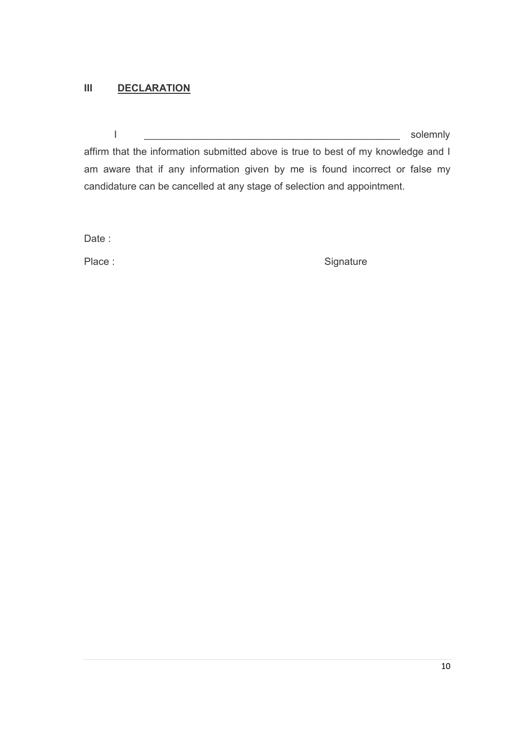# **III DECLARATION**

I \_\_\_\_\_\_\_\_\_\_\_\_\_\_\_\_\_\_\_\_\_\_\_\_\_\_\_\_\_\_\_\_\_\_\_\_\_\_\_\_\_\_\_\_\_\_ solemnly

affirm that the information submitted above is true to best of my knowledge and I am aware that if any information given by me is found incorrect or false my candidature can be cancelled at any stage of selection and appointment.

Date :

Place : Signature : Signature : Signature : Signature : Signature : Signature : Signature : Signature : Signature : Signature : Signature : Signature : Signature : Signature : Signature : Signature : Signature : Signature